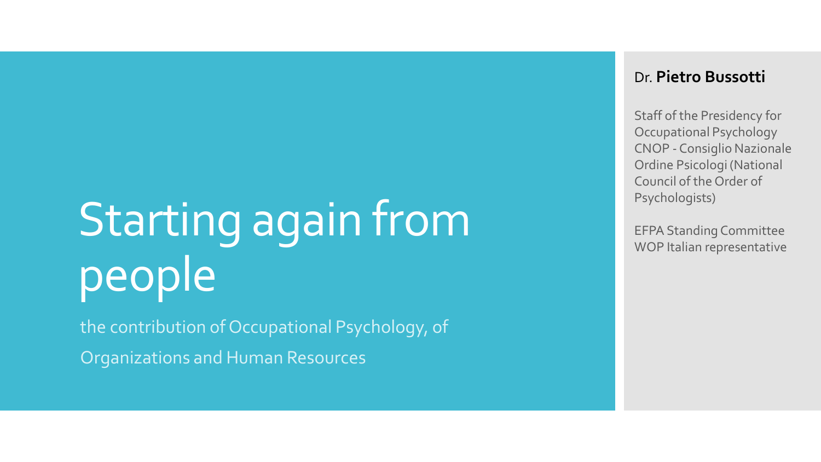# Starting again from people

the contribution of Occupational Psychology, of Organizations and Human Resources

#### Dr. **Pietro Bussotti**

Staff of the Presidency for Occupational Psychology CNOP - Consiglio Nazionale Ordine Psicologi (National Council of the Order of Psychologists)

EFPA Standing Committee WOP Italian representative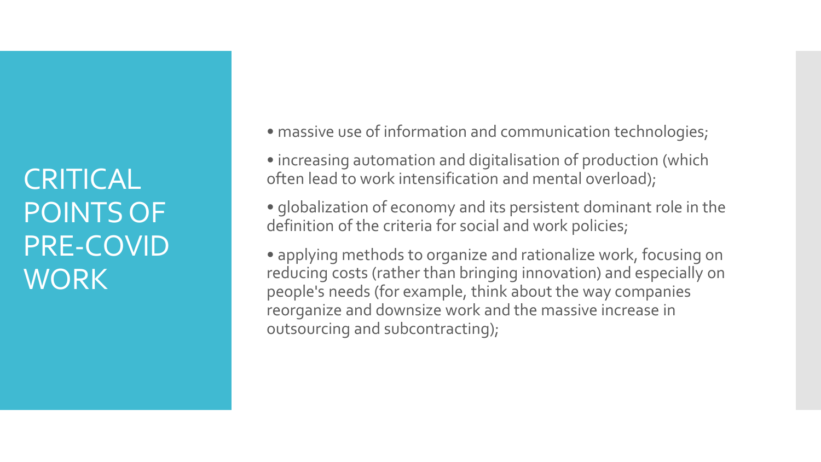**CRITICAL** POINTS OF PRE-COVID **WORK** 

• massive use of information and communication technologies;

• increasing automation and digitalisation of production (which often lead to work intensification and mental overload);

• globalization of economy and its persistent dominant role in the definition of the criteria for social and work policies;

• applying methods to organize and rationalize work, focusing on reducing costs (rather than bringing innovation) and especially on people's needs (for example, think about the way companies reorganize and downsize work and the massive increase in outsourcing and subcontracting);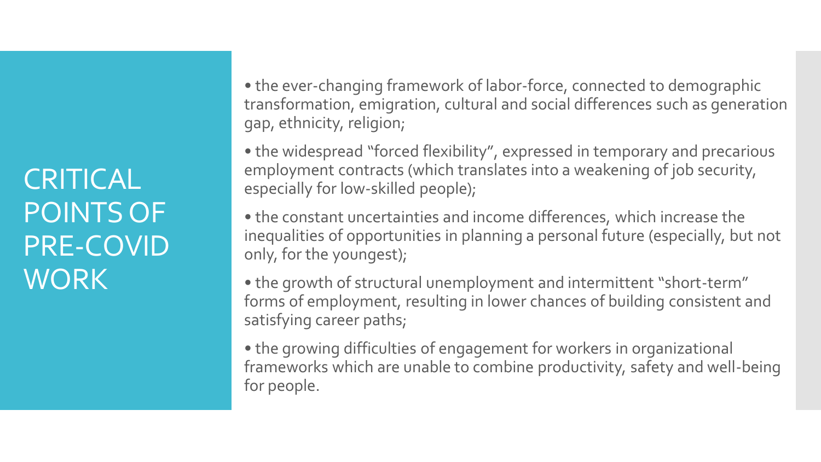**CRITICAL** POINTS OF PRE-COVID **WORK** 

• the ever-changing framework of labor-force, connected to demographic transformation, emigration, cultural and social differences such as generation gap, ethnicity, religion;

• the widespread "forced flexibility", expressed in temporary and precarious employment contracts (which translates into a weakening of job security, especially for low-skilled people);

• the constant uncertainties and income differences, which increase the inequalities of opportunities in planning a personal future (especially, but not only, for the youngest);

• the growth of structural unemployment and intermittent "short-term" forms of employment, resulting in lower chances of building consistent and satisfying career paths;

• the growing difficulties of engagement for workers in organizational frameworks which are unable to combine productivity, safety and well-being for people.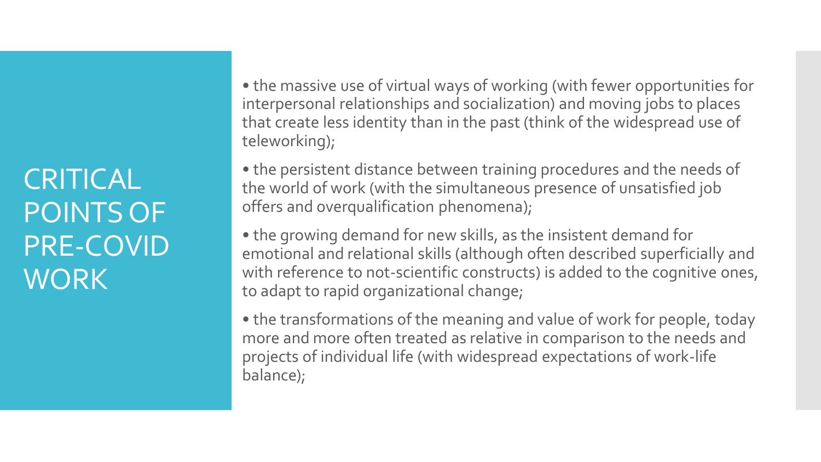**CRITICAL** POINTS OF PRE-COVID **WORK** 

• the massive use of virtual ways of working (with fewer opportunities for interpersonal relationships and socialization) and moving jobs to places that create less identity than in the past (think of the widespread use of teleworking);

• the persistent distance between training procedures and the needs of the world of work (with the simultaneous presence of unsatisfied job offers and overqualification phenomena);

• the growing demand for new skills, as the insistent demand for emotional and relational skills (although often described superficially and with reference to not-scientific constructs) is added to the cognitive ones, to adapt to rapid organizational change;

• the transformations of the meaning and value of work for people, today more and more often treated as relative in comparison to the needs and projects of individual life (with widespread expectations of work-life balance);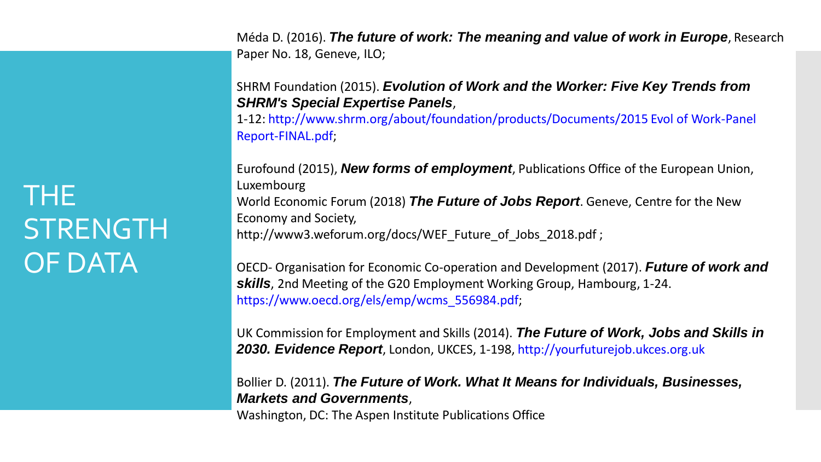THE **STRENGTH** OF DATA

Méda D. (2016). *The future of work: The meaning and value of work in Europe*, Research Paper No. 18, Geneve, ILO;

SHRM Foundation (2015). *Evolution of Work and the Worker: Five Key Trends from SHRM's Special Expertise Panels*,

1-12: http://www.shrm.org/about/foundation/products/Documents/2015 Evol of Work-Panel Report-FINAL.pdf;

Eurofound (2015), *New forms of employment*, Publications Office of the European Union, Luxembourg World Economic Forum (2018) *The Future of Jobs Report*. Geneve, Centre for the New Economy and Society, http://www3.weforum.org/docs/WEF\_Future\_of\_Jobs\_2018.pdf ;

OECD- Organisation for Economic Co-operation and Development (2017). *Future of work and skills*, 2nd Meeting of the G20 Employment Working Group, Hambourg, 1-24. https://www.oecd.org/els/emp/wcms\_556984.pdf;

UK Commission for Employment and Skills (2014). *The Future of Work, Jobs and Skills in 2030. Evidence Report*, London, UKCES, 1-198, http://yourfuturejob.ukces.org.uk

Bollier D. (2011). *The Future of Work. What It Means for Individuals, Businesses, Markets and Governments*,

Washington, DC: The Aspen Institute Publications Office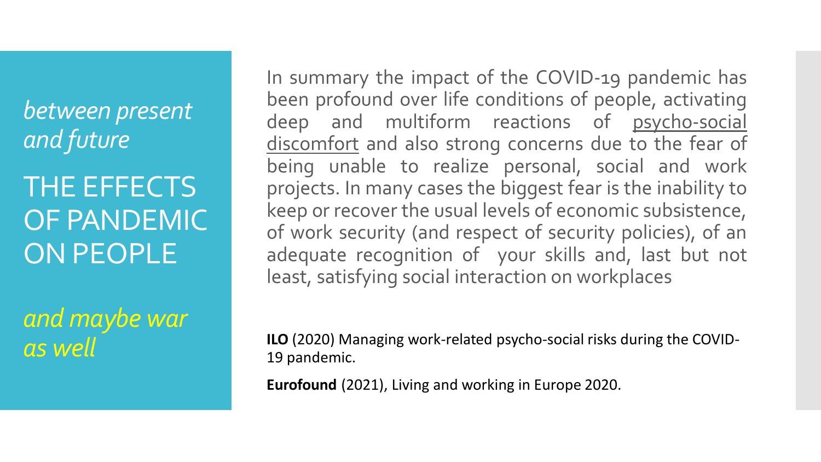*between present and future*

THE EFFECTS OF PANDEMIC ON PEOPLE

*and maybe war as well*

In summary the impact of the COVID-19 pandemic has been profound over life conditions of people, activating deep and multiform reactions of psycho-social discomfort and also strong concerns due to the fear of being unable to realize personal, social and work projects. In many cases the biggest fear is the inability to keep or recover the usual levels of economic subsistence, of work security (and respect of security policies), of an adequate recognition of your skills and, last but not least, satisfying social interaction on workplaces

**ILO** (2020) Managing work-related psycho-social risks during the COVID-19 pandemic.

**Eurofound** (2021), Living and working in Europe 2020.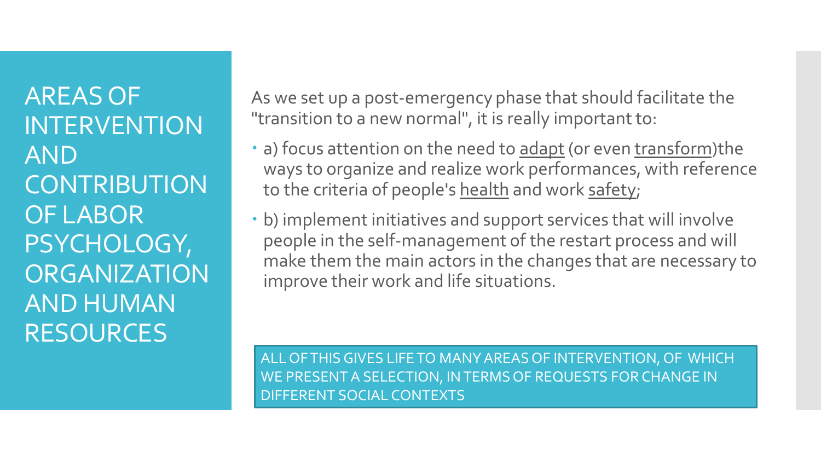AREAS OF INTERVENTION AND **CONTRIBUTION** OF LABOR PSYCHOLOGY, **ORGANIZATION** AND HUMAN RESOURCES

As we set up a post-emergency phase that should facilitate the "transition to a new normal", it is really important to:

- a) focus attention on the need to adapt (or even transform)the ways to organize and realize work performances, with reference to the criteria of people's health and work safety;
- b) implement initiatives and support services that will involve people in the self-management of the restart process and will make them the main actors in the changes that are necessary to improve their work and life situations.

ALL OF THIS GIVES LIFE TO MANY AREAS OF INTERVENTION, OF WHICH WE PRESENT A SELECTION, IN TERMS OF REQUESTS FOR CHANGE IN DIFFERENT SOCIAL CONTEXTS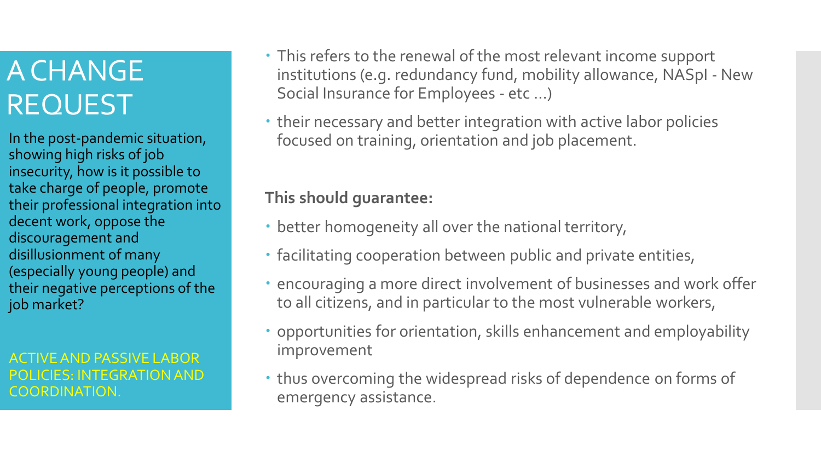In the post-pandemic situation, showing high risks of job insecurity, how is it possible to take charge of people, promote their professional integration into decent work, oppose the discouragement and disillusionment of many (especially young people) and their negative perceptions of the job market?

ACTIVE AND PASSIVE LABOR POLICIES: INTEGRATION AND COORDINATION.

- This refers to the renewal of the most relevant income support institutions (e.g. redundancy fund, mobility allowance, NASpI - New Social Insurance for Employees - etc ...)
- their necessary and better integration with active labor policies focused on training, orientation and job placement.

**This should guarantee:**

- better homogeneity all over the national territory,
- facilitating cooperation between public and private entities,
- encouraging a more direct involvement of businesses and work offer to all citizens, and in particular to the most vulnerable workers,
- opportunities for orientation, skills enhancement and employability improvement
- thus overcoming the widespread risks of dependence on forms of emergency assistance.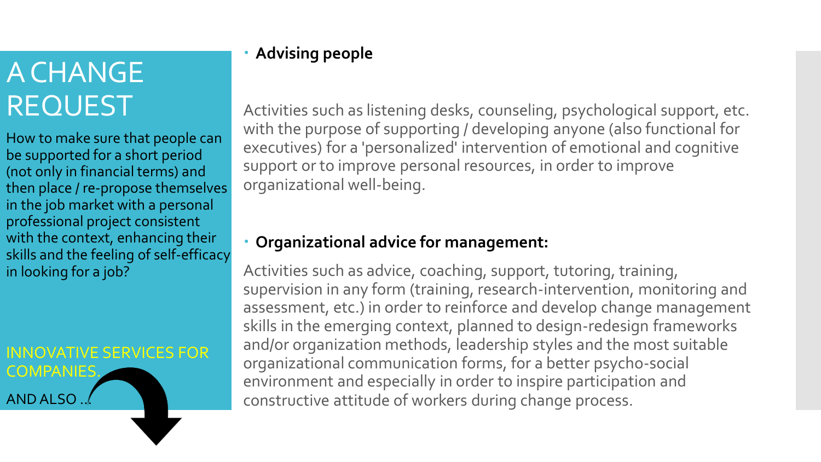How to make sure that people can be supported for a short period (not only in financial terms) and then place / re-propose themselves in the job market with a personal professional project consistent with the context, enhancing their skills and the feeling of self-efficacy in looking for a job?

### INNOVATIVE SERVICES FOR **COMPANIES** AND ALSO …

**Advising people**

Activities such as listening desks, counseling, psychological support, etc. with the purpose of supporting / developing anyone (also functional for executives) for a 'personalized' intervention of emotional and cognitive support or to improve personal resources, in order to improve organizational well-being.

#### **Organizational advice for management:**

Activities such as advice, coaching, support, tutoring, training, supervision in any form (training, research-intervention, monitoring and assessment, etc.) in order to reinforce and develop change management skills in the emerging context, planned to design-redesign frameworks and/or organization methods, leadership styles and the most suitable organizational communication forms, for a better psycho-social environment and especially in order to inspire participation and constructive attitude of workers during change process.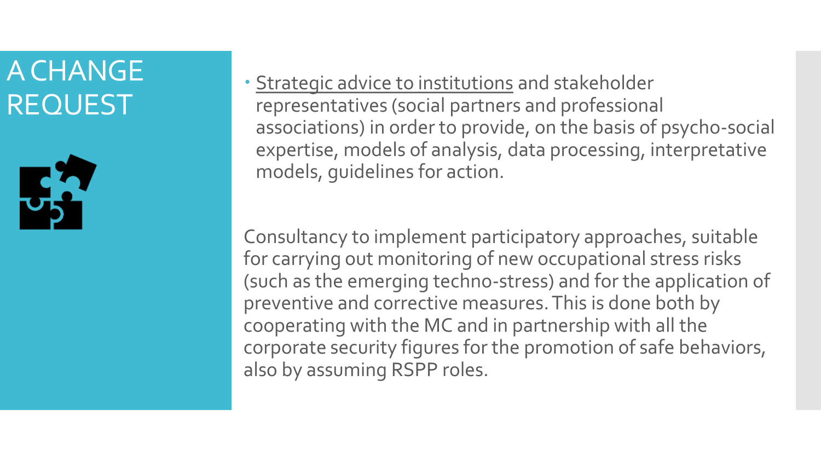

 Strategic advice to institutions and stakeholder representatives (social partners and professional associations) in order to provide, on the basis of psycho-social expertise, models of analysis, data processing, interpretative models, guidelines for action.

Consultancy to implement participatory approaches, suitable for carrying out monitoring of new occupational stress risks (such as the emerging techno-stress) and for the application of preventive and corrective measures. This is done both by cooperating with the MC and in partnership with all the corporate security figures for the promotion of safe behaviors, also by assuming RSPP roles.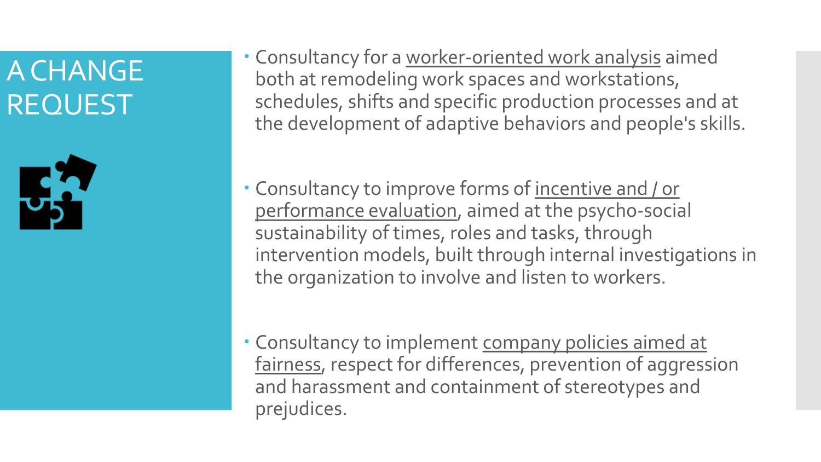

- Consultancy for a worker-oriented work analysis aimed both at remodeling work spaces and workstations, schedules, shifts and specific production processes and at the development of adaptive behaviors and people's skills.
- Consultancy to improve forms of incentive and / or performance evaluation, aimed at the psycho-social sustainability of times, roles and tasks, through intervention models, built through internal investigations in the organization to involve and listen to workers.
- Consultancy to implement company policies aimed at fairness, respect for differences, prevention of aggression and harassment and containment of stereotypes and prejudices.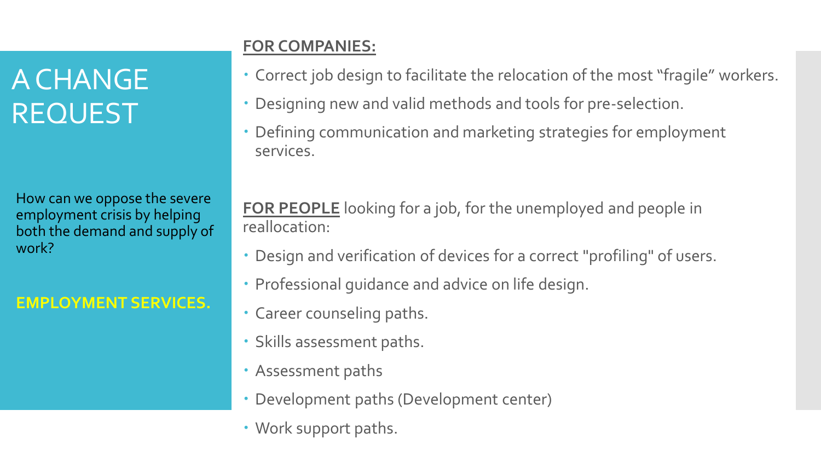How can we oppose the severe employment crisis by helping both the demand and supply of work?

### **EMPLOYMENT SERVICES.**

### **FOR COMPANIES:**

- Correct job design to facilitate the relocation of the most "fragile" workers.
- Designing new and valid methods and tools for pre-selection.
- Defining communication and marketing strategies for employment services.

**FOR PEOPLE** looking for a job, for the unemployed and people in reallocation:

- Design and verification of devices for a correct "profiling" of users.
- Professional guidance and advice on life design.
- Career counseling paths.
- Skills assessment paths.
- Assessment paths
- Development paths (Development center)
- Work support paths.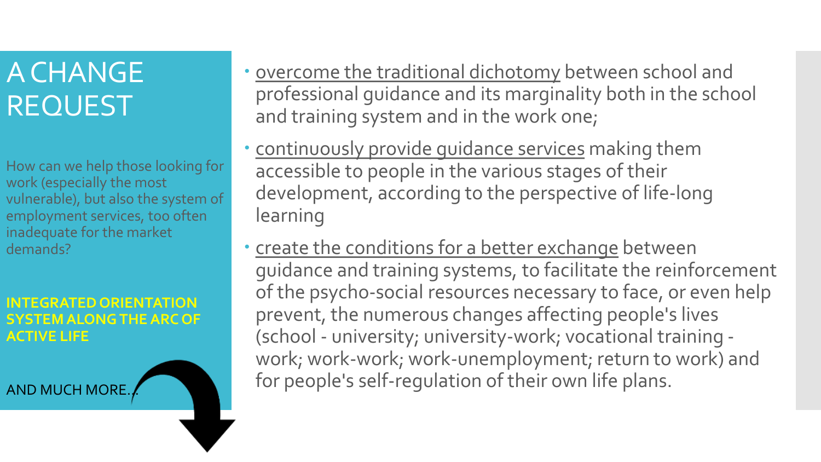How can we help those looking for work (especially the most vulnerable), but also the system of employment services, too often inadequate for the market demands?

#### **INTEGRATED ORIENTATION SYSTEM ALONG THE ARC OF ACTIVE LIFE**

AND MUCH MORE…

- overcome the traditional dichotomy between school and professional guidance and its marginality both in the school and training system and in the work one;
- continuously provide guidance services making them accessible to people in the various stages of their development, according to the perspective of life-long learning
- create the conditions for a better exchange between guidance and training systems, to facilitate the reinforcement of the psycho-social resources necessary to face, or even help prevent, the numerous changes affecting people's lives (school - university; university-work; vocational training work; work-work; work-unemployment; return to work) and for people's self-regulation of their own life plans.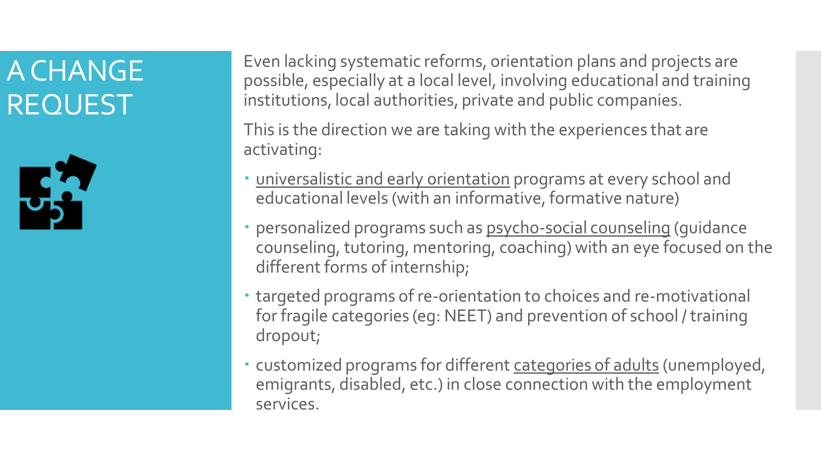

Even lacking systematic reforms, orientation plans and projects are possible, especially at a local level, involving educational and training institutions, local authorities, private and public companies.

This is the direction we are taking with the experiences that are activating:

- universalistic and early orientation programs at every school and educational levels (with an informative, formative nature)
- personalized programs such as psycho-social counseling (guidance counseling, tutoring, mentoring, coaching) with an eye focused on the different forms of internship;
- targeted programs of re-orientation to choices and re-motivational for fragile categories (eg: NEET) and prevention of school / training dropout;
- customized programs for different categories of adults (unemployed, emigrants, disabled, etc.) in close connection with the employment services.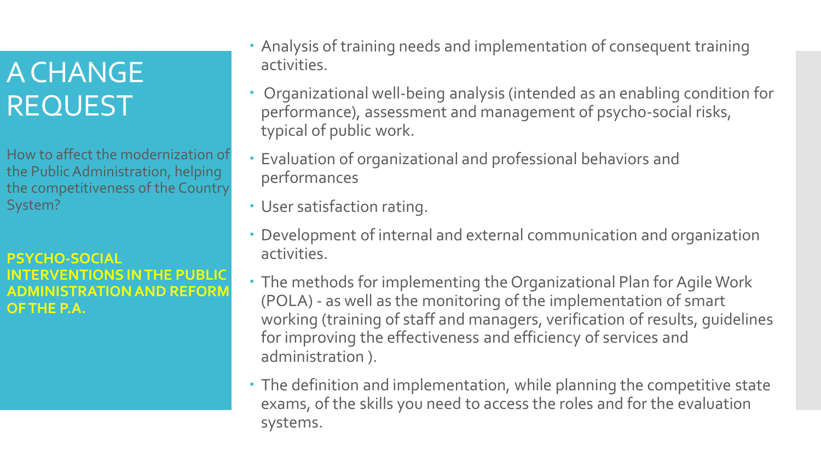How to affect the modernization of the Public Administration, helping the competitiveness of the Country System?

#### **PSYCHO-SOCIAL INTERVENTIONS IN THE PUBLIC MINISTRATION AND REFORM OF THE P.A.**

- Analysis of training needs and implementation of consequent training activities.
- Organizational well-being analysis (intended as an enabling condition for performance), assessment and management of psycho-social risks, typical of public work.
- Evaluation of organizational and professional behaviors and performances
- User satisfaction rating.
- Development of internal and external communication and organization activities.
- The methods for implementing the Organizational Plan for Agile Work (POLA) - as well as the monitoring of the implementation of smart working (training of staff and managers, verification of results, guidelines for improving the effectiveness and efficiency of services and administration ).
- The definition and implementation, while planning the competitive state exams, of the skills you need to access the roles and for the evaluation systems.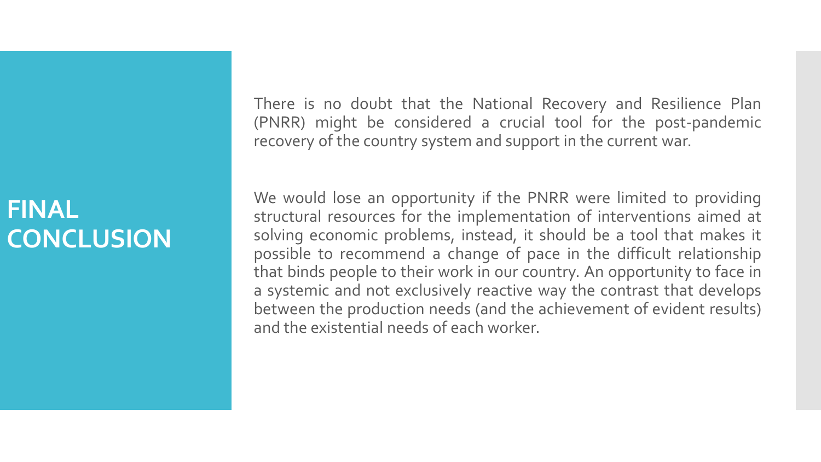### **FINAL CONCLUSION**

There is no doubt that the National Recovery and Resilience Plan (PNRR) might be considered a crucial tool for the post-pandemic recovery of the country system and support in the current war.

We would lose an opportunity if the PNRR were limited to providing structural resources for the implementation of interventions aimed at solving economic problems, instead, it should be a tool that makes it possible to recommend a change of pace in the difficult relationship that binds people to their work in our country. An opportunity to face in a systemic and not exclusively reactive way the contrast that develops between the production needs (and the achievement of evident results) and the existential needs of each worker.